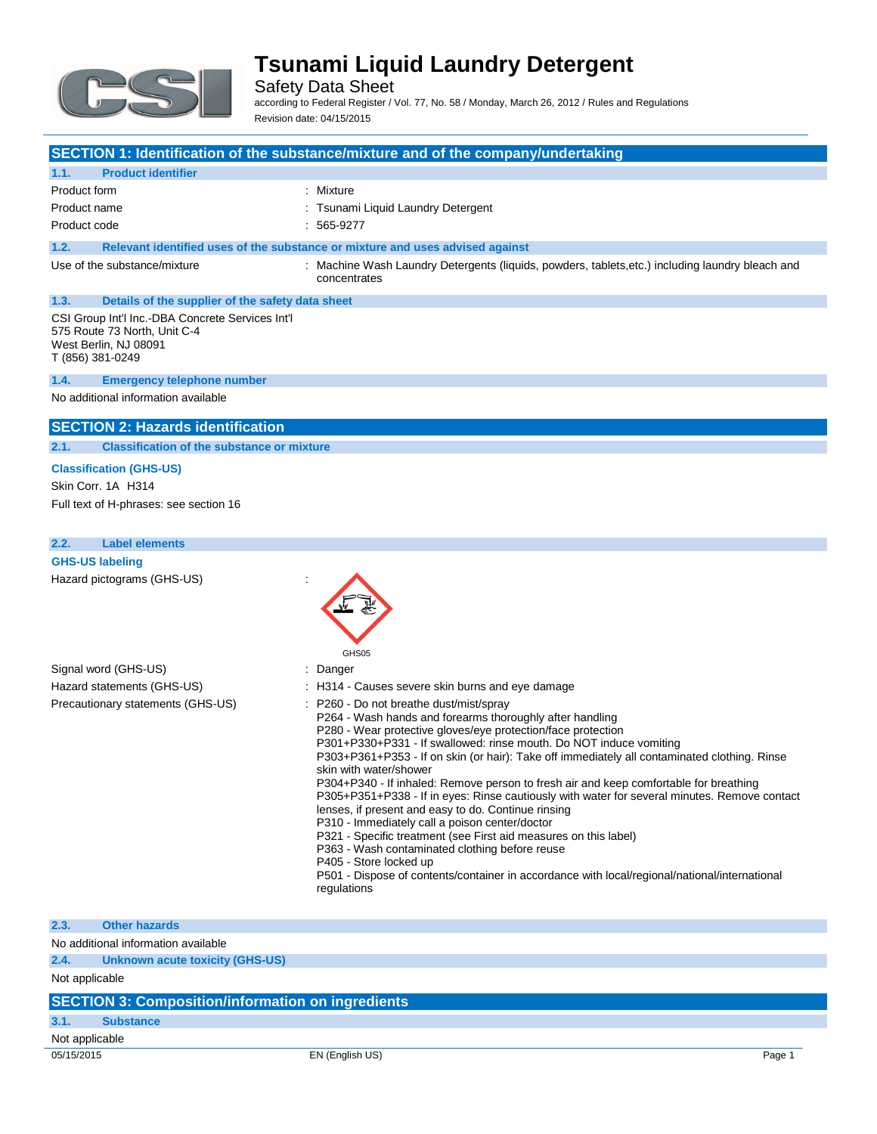

Safety Data Sheet

according to Federal Register / Vol. 77, No. 58 / Monday, March 26, 2012 / Rules and Regulations Revision date: 04/15/2015

#### **SECTION 1: Identification of the substance/mixture and of the company/undertaking**

### **1.1. Product identifier** Product form **: Mixture** Product name **in the set of the Contract Contract Contract Contract Contract Contract Contract Contract Contract Contract Contract Contract Contract Contract Contract Contract Contract Contract Contract Contract Contract C** Product code : 565-9277 **1.2. Relevant identified uses of the substance or mixture and uses advised against** Use of the substance/mixture : Machine Wash Laundry Detergents (liquids, powders, tablets,etc.) including laundry bleach and concentrates **1.3. Details of the supplier of the safety data sheet** CSI Group Int'l Inc.-DBA Concrete Services Int'l 575 Route 73 North, Unit C-4 West Berlin, NJ 08091 T (856) 381-0249 **1.4. Emergency telephone number**

No additional information available

#### **SECTION 2: Hazards identification**

#### **2.1. Classification of the substance or mixture**

**Classification (GHS-US)** Skin Corr. 1A H314 Full text of H-phrases: see section 16

#### **2.2. Label elements**

**GHS-US labeling** Hazard pictograms (GHS-US) :



#### **2.3. Other hazards**

No additional information available

### **2.4. Unknown acute toxicity (GHS-US)**

Not applicable

#### **SECTION 3: Composition/information on ingredients**

### **3.1. Substance**

Not applicable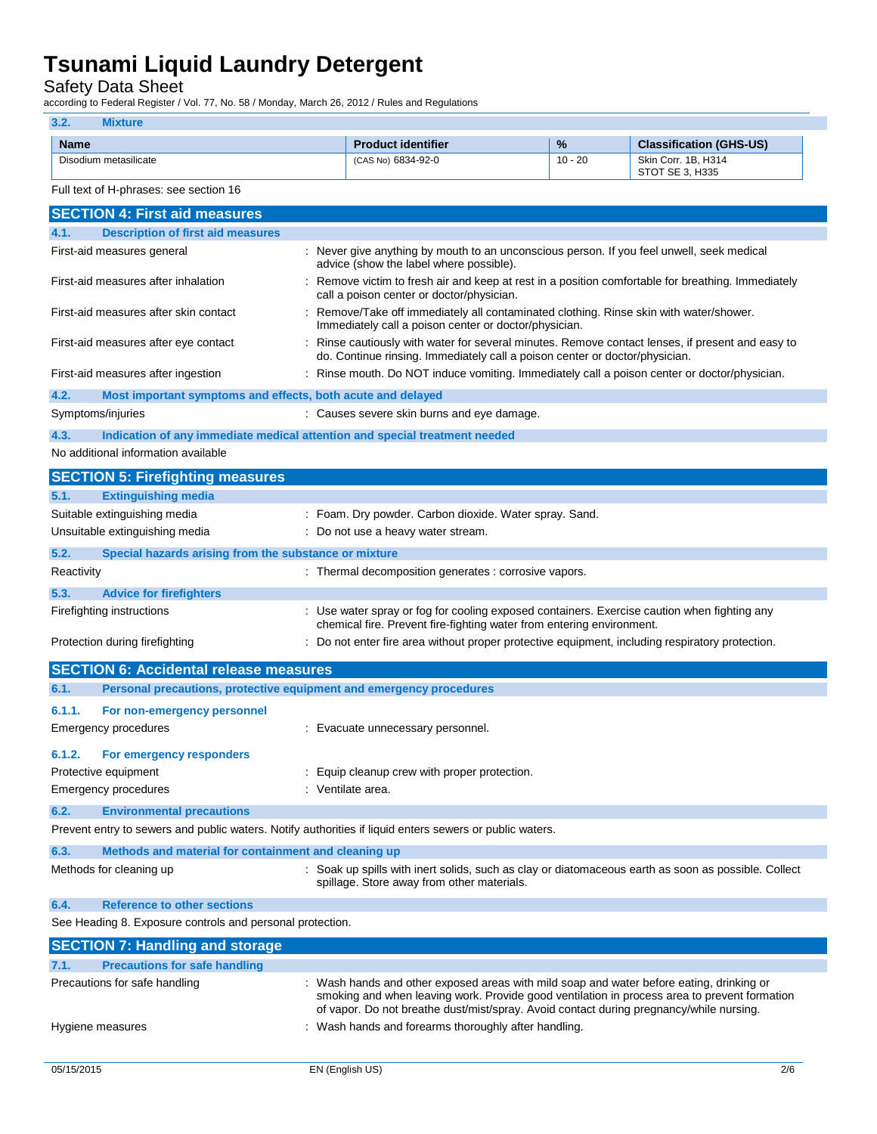Safety Data Sheet

according to Federal Register / Vol. 77, No. 58 / Monday, March 26, 2012 / Rules and Regulations

## **3.2. Mixture Name Product identifier 1989 12 Classification (GHS-US) Product identifier 1989 12 Classification (GHS-US)** Disodium metasilicate (CAS No) 6834-92-0 10 - 20 Skin Corr. 1B, H314 STOT SE 3, H335 Full text of H-phrases: see section 16 **SECTION 4: First aid measures 4.1. Description of first aid measures** First-aid measures general interest in the state of the seven give anything by mouth to an unconscious person. If you feel unwell, seek medical advice (show the label where possible). First-aid measures after inhalation : Remove victim to fresh air and keep at rest in a position comfortable for breathing. Immediately call a poison center or doctor/physician. First-aid measures after skin contact : Remove/Take off immediately all contaminated clothing. Rinse skin with water/shower. Immediately call a poison center or doctor/physician. First-aid measures after eye contact : Rinse cautiously with water for several minutes. Remove contact lenses, if present and easy to do. Continue rinsing. Immediately call a poison center or doctor/physician. First-aid measures after ingestion : Rinse mouth. Do NOT induce vomiting. Immediately call a poison center or doctor/physician. **4.2. Most important symptoms and effects, both acute and delayed** Symptoms/injuries : Causes severe skin burns and eye damage. **4.3. Indication of any immediate medical attention and special treatment needed** No additional information available **SECTION 5: Firefighting measures 5.1. Extinguishing media** Suitable extinguishing media : Foam. Dry powder. Carbon dioxide. Water spray. Sand. Unsuitable extinguishing media : Do not use a heavy water stream. **5.2. Special hazards arising from the substance or mixture** Reactivity **Reactivity** : Thermal decomposition generates : corrosive vapors. **5.3. Advice for firefighters** Firefighting instructions : Use water spray or fog for cooling exposed containers. Exercise caution when fighting any chemical fire. Prevent fire-fighting water from entering environment. Protection during firefighting **inter antical content in the state of the Content** of the not enter fire area without proper protective equipment, including respiratory protection. **SECTION 6: Accidental release measures 6.1. Personal precautions, protective equipment and emergency procedures 6.1.1. For non-emergency personnel** Emergency procedures : Evacuate unnecessary personnel. **6.1.2. For emergency responders** Protective equipment **interval and the Community** Equip cleanup crew with proper protection. Emergency procedures in the set of the set of the Senate area. **6.2. Environmental precautions** Prevent entry to sewers and public waters. Notify authorities if liquid enters sewers or public waters. **6.3. Methods and material for containment and cleaning up** Methods for cleaning up example of the spills with inert solids, such as clay or diatomaceous earth as soon as possible. Collect spillage. Store away from other materials. **6.4. Reference to other sections** See Heading 8. Exposure controls and personal protection. **SECTION 7: Handling and storage 7.1. Precautions for safe handling** Precautions for safe handling : Wash hands and other exposed areas with mild soap and water before eating, drinking or smoking and when leaving work. Provide good ventilation in process area to prevent formation of vapor. Do not breathe dust/mist/spray. Avoid contact during pregnancy/while nursing. Hygiene measures **in the state of the state of the state of the state of the state of the state of the state of the state of the state of the state of the state of the state of the state of the state of the state of the st**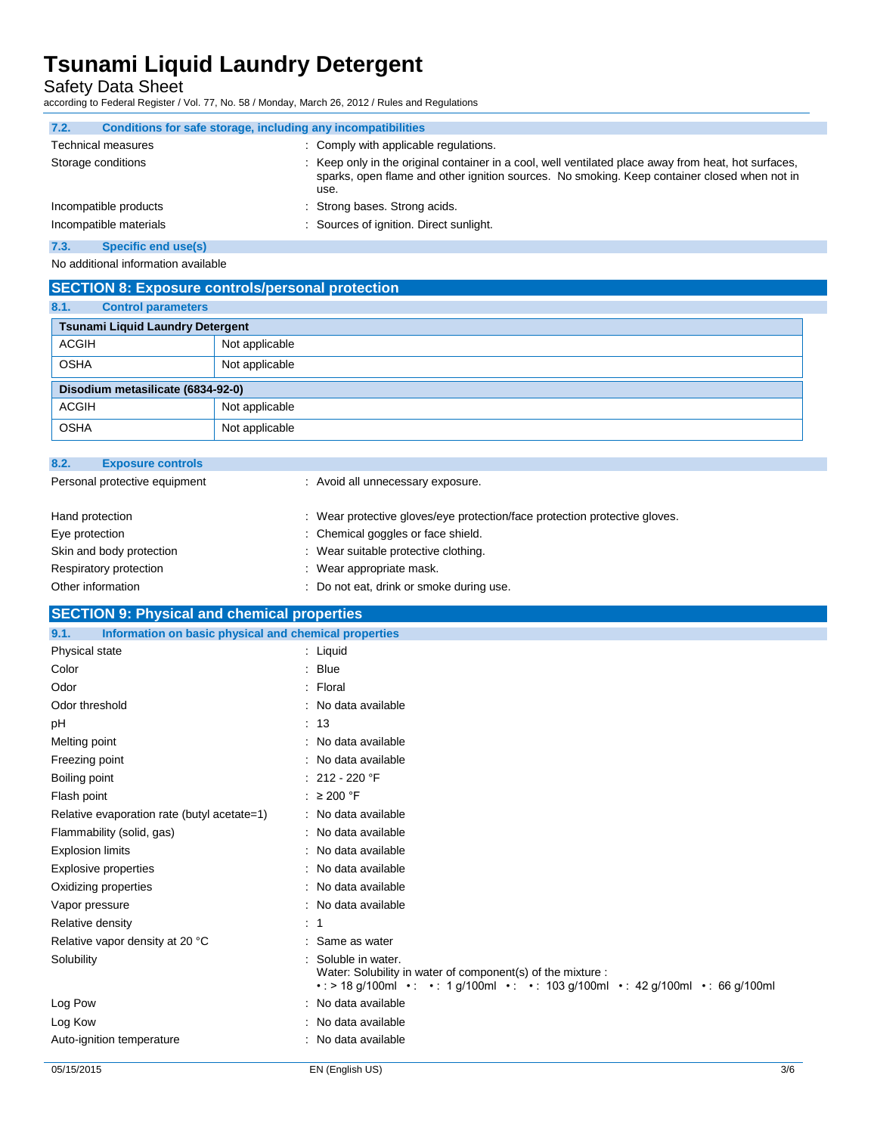Safety Data Sheet

according to Federal Register / Vol. 77, No. 58 / Monday, March 26, 2012 / Rules and Regulations

| 7.2.                      | Conditions for safe storage, including any incompatibilities                                                                                                                                                 |  |
|---------------------------|--------------------------------------------------------------------------------------------------------------------------------------------------------------------------------------------------------------|--|
| <b>Technical measures</b> | : Comply with applicable regulations.                                                                                                                                                                        |  |
| Storage conditions        | : Keep only in the original container in a cool, well ventilated place away from heat, hot surfaces,<br>sparks, open flame and other ignition sources. No smoking. Keep container closed when not in<br>use. |  |
| Incompatible products     | : Strong bases. Strong acids.                                                                                                                                                                                |  |
| Incompatible materials    | : Sources of ignition. Direct sunlight.                                                                                                                                                                      |  |
| $ -$                      |                                                                                                                                                                                                              |  |

#### **7.3. Specific end use(s)**

No additional information available

## **SECTION 8: Exposure controls/personal protection**

| 8.1.<br><b>Control parameters</b>       |                |  |
|-----------------------------------------|----------------|--|
| <b>Tsunami Liquid Laundry Detergent</b> |                |  |
| <b>ACGIH</b>                            | Not applicable |  |
| <b>OSHA</b>                             | Not applicable |  |
| Disodium metasilicate (6834-92-0)       |                |  |
| <b>ACGIH</b>                            | Not applicable |  |
| <b>OSHA</b>                             | Not applicable |  |

| 8.2.<br><b>Exposure controls</b> |                                                                            |
|----------------------------------|----------------------------------------------------------------------------|
| Personal protective equipment    | : Avoid all unnecessary exposure.                                          |
| Hand protection                  | : Wear protective gloves/eye protection/face protection protective gloves. |
| Eye protection                   | : Chemical goggles or face shield.                                         |
| Skin and body protection         | Wear suitable protective clothing.                                         |
| Respiratory protection           | Wear appropriate mask.                                                     |
| Other information                | Do not eat, drink or smoke during use.                                     |

### **SECTION 9: Physical and chemical properties**

| Information on basic physical and chemical properties<br>9.1. |                                                                                                                                                                          |
|---------------------------------------------------------------|--------------------------------------------------------------------------------------------------------------------------------------------------------------------------|
| Physical state                                                | : Liquid                                                                                                                                                                 |
| Color                                                         | $:$ Blue                                                                                                                                                                 |
| Odor                                                          | : Floral                                                                                                                                                                 |
| Odor threshold                                                | : No data available                                                                                                                                                      |
| рH                                                            | : 13                                                                                                                                                                     |
| Melting point                                                 | : No data available                                                                                                                                                      |
| Freezing point                                                | : No data available                                                                                                                                                      |
| Boiling point                                                 | : $212 - 220$ °F                                                                                                                                                         |
| Flash point                                                   | : $\geq 200$ °F                                                                                                                                                          |
| Relative evaporation rate (butyl acetate=1)                   | : No data available                                                                                                                                                      |
| Flammability (solid, gas)                                     | : No data available                                                                                                                                                      |
| <b>Explosion limits</b>                                       | : No data available                                                                                                                                                      |
| Explosive properties                                          | : No data available                                                                                                                                                      |
| Oxidizing properties                                          | : No data available                                                                                                                                                      |
| Vapor pressure                                                | : No data available                                                                                                                                                      |
| Relative density                                              | $\therefore$ 1                                                                                                                                                           |
| Relative vapor density at 20 °C                               | : Same as water                                                                                                                                                          |
| Solubility                                                    | Soluble in water.<br>Water: Solubility in water of component(s) of the mixture :<br>• : > 18 g/100ml • : • : 1 g/100ml • : • : 103 g/100ml • : 42 g/100ml • : 66 g/100ml |
| Log Pow                                                       | : No data available                                                                                                                                                      |
| Log Kow                                                       | : No data available                                                                                                                                                      |
| Auto-ignition temperature                                     | : No data available                                                                                                                                                      |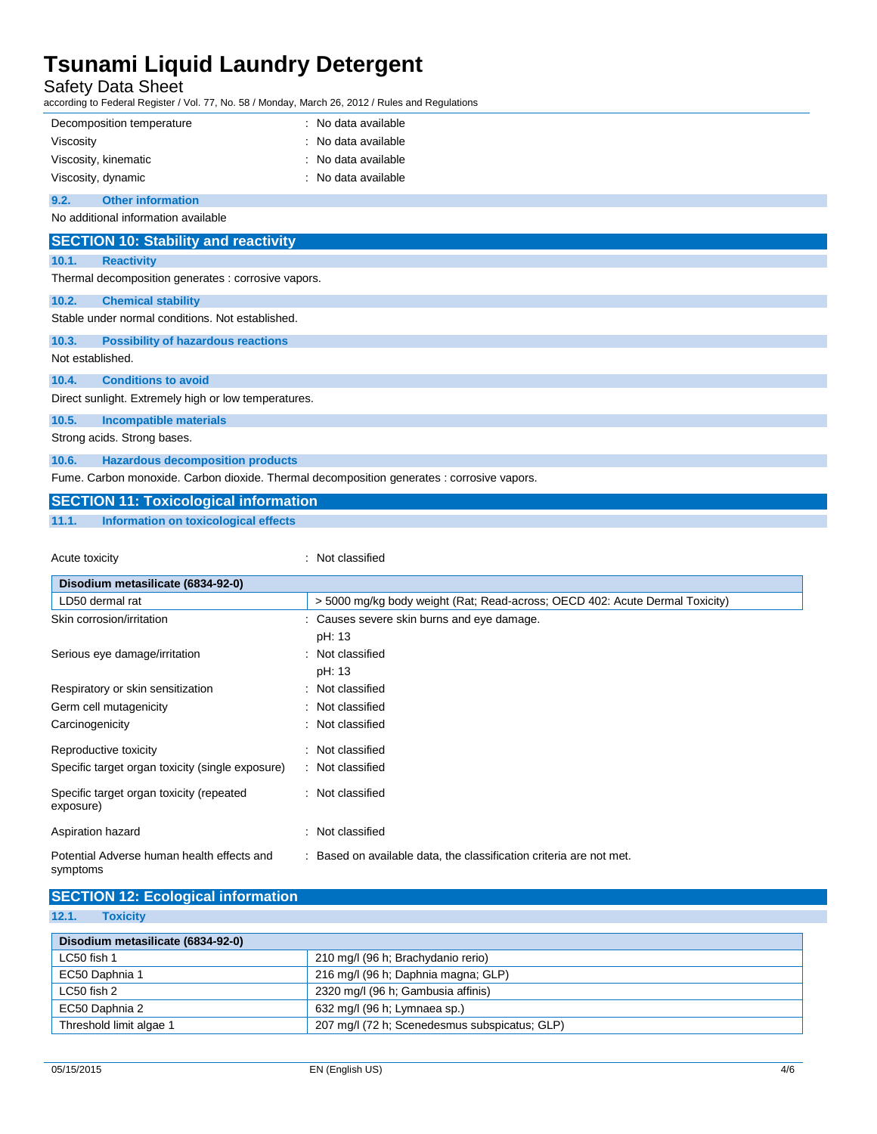Safety Data Sheet

according to Federal Register / Vol. 77, No. 58 / Monday, March 26, 2012 / Rules and Regulations

|                                                                                            | : No data available<br>Decomposition temperature |  |  |  |
|--------------------------------------------------------------------------------------------|--------------------------------------------------|--|--|--|
| Viscosity                                                                                  | : No data available                              |  |  |  |
|                                                                                            | : No data available<br>Viscosity, kinematic      |  |  |  |
|                                                                                            | Viscosity, dynamic<br>: No data available        |  |  |  |
| 9.2.                                                                                       | <b>Other information</b>                         |  |  |  |
| No additional information available                                                        |                                                  |  |  |  |
| <b>SECTION 10: Stability and reactivity</b>                                                |                                                  |  |  |  |
| 10.1.                                                                                      | <b>Reactivity</b>                                |  |  |  |
| Thermal decomposition generates : corrosive vapors.                                        |                                                  |  |  |  |
| 10.2.                                                                                      | <b>Chemical stability</b>                        |  |  |  |
|                                                                                            | Stable under normal conditions. Not established. |  |  |  |
| 10.3.                                                                                      | <b>Possibility of hazardous reactions</b>        |  |  |  |
| Not established.                                                                           |                                                  |  |  |  |
| 10.4.                                                                                      | <b>Conditions to avoid</b>                       |  |  |  |
| Direct sunlight. Extremely high or low temperatures.                                       |                                                  |  |  |  |
| 10.5.                                                                                      | <b>Incompatible materials</b>                    |  |  |  |
|                                                                                            | Strong acids. Strong bases.                      |  |  |  |
| 10.6.                                                                                      | <b>Hazardous decomposition products</b>          |  |  |  |
| Fume. Carbon monoxide. Carbon dioxide. Thermal decomposition generates : corrosive vapors. |                                                  |  |  |  |
|                                                                                            | <b>SECTION 11: Toxicological information</b>     |  |  |  |

**11.1. Information on toxicological effects**

Acute toxicity **in the case of the CALIC CONTEX :** Not classified

| Disodium metasilicate (6834-92-0)                      |                                                                              |  |  |
|--------------------------------------------------------|------------------------------------------------------------------------------|--|--|
| LD50 dermal rat                                        | > 5000 mg/kg body weight (Rat; Read-across; OECD 402: Acute Dermal Toxicity) |  |  |
| Skin corrosion/irritation                              | : Causes severe skin burns and eye damage.                                   |  |  |
|                                                        | pH: 13                                                                       |  |  |
| Serious eye damage/irritation                          | : Not classified                                                             |  |  |
|                                                        | pH: 13                                                                       |  |  |
| Respiratory or skin sensitization                      | : Not classified                                                             |  |  |
| Germ cell mutagenicity                                 | : Not classified                                                             |  |  |
| Carcinogenicity                                        | : Not classified                                                             |  |  |
| Reproductive toxicity                                  | : Not classified                                                             |  |  |
| Specific target organ toxicity (single exposure)       | : Not classified                                                             |  |  |
| Specific target organ toxicity (repeated<br>exposure)  | : Not classified                                                             |  |  |
| Aspiration hazard                                      | : Not classified                                                             |  |  |
| Potential Adverse human health effects and<br>symptoms | : Based on available data, the classification criteria are not met.          |  |  |

| <b>SECTION 12: Ecological information</b> |                                               |  |
|-------------------------------------------|-----------------------------------------------|--|
| 12.1.<br><b>Toxicity</b>                  |                                               |  |
| Disodium metasilicate (6834-92-0)         |                                               |  |
| LC50 fish 1                               | 210 mg/l (96 h; Brachydanio rerio)            |  |
| EC50 Daphnia 1                            | 216 mg/l (96 h; Daphnia magna; GLP)           |  |
| LC50 fish 2                               | 2320 mg/l (96 h; Gambusia affinis)            |  |
| EC50 Daphnia 2                            | 632 mg/l (96 h; Lymnaea sp.)                  |  |
| Threshold limit algae 1                   | 207 mg/l (72 h; Scenedesmus subspicatus; GLP) |  |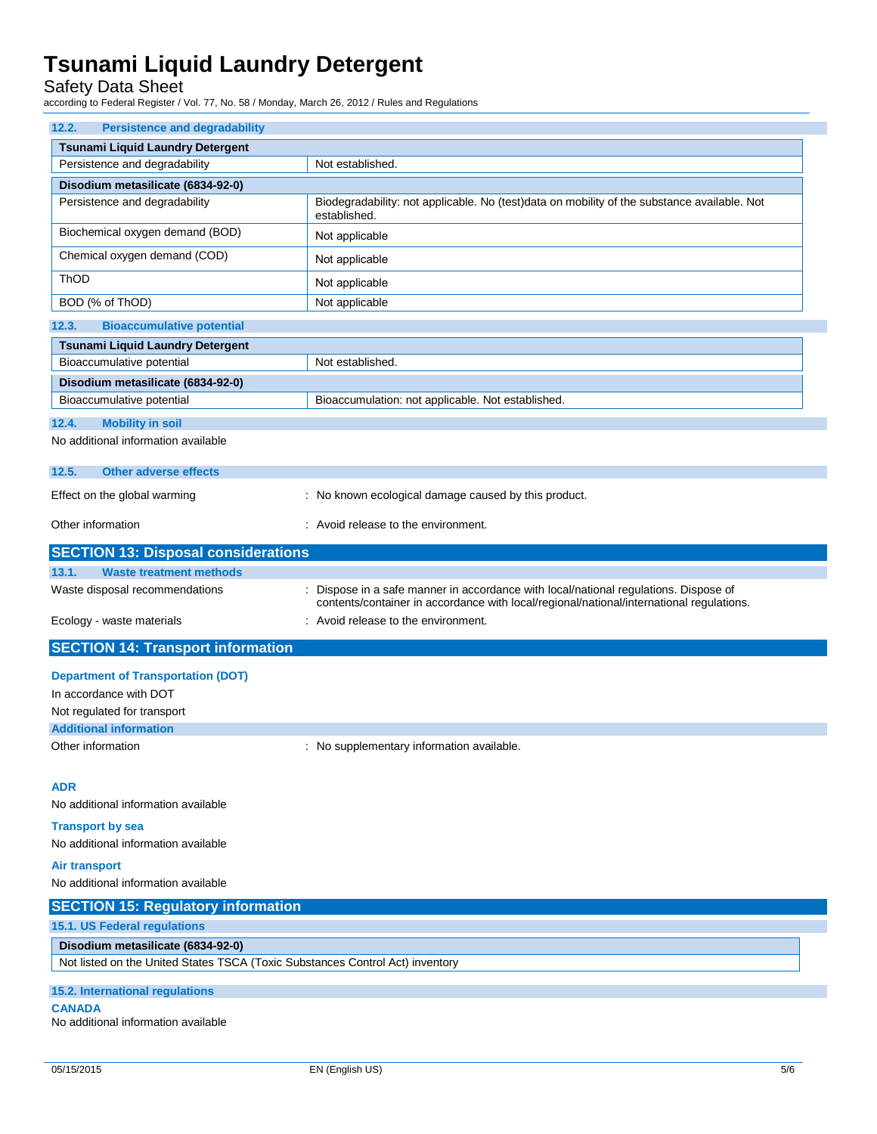Safety Data Sheet

according to Federal Register / Vol. 77, No. 58 / Monday, March 26, 2012 / Rules and Regulations

| 12.2.<br><b>Persistence and degradability</b>                                 |                                                                                                                                                                                |  |
|-------------------------------------------------------------------------------|--------------------------------------------------------------------------------------------------------------------------------------------------------------------------------|--|
| Tsunami Liquid Laundry Detergent                                              |                                                                                                                                                                                |  |
| Persistence and degradability                                                 | Not established.                                                                                                                                                               |  |
| Disodium metasilicate (6834-92-0)                                             |                                                                                                                                                                                |  |
| Persistence and degradability                                                 | Biodegradability: not applicable. No (test)data on mobility of the substance available. Not<br>established.                                                                    |  |
| Biochemical oxygen demand (BOD)                                               | Not applicable                                                                                                                                                                 |  |
| Chemical oxygen demand (COD)                                                  | Not applicable                                                                                                                                                                 |  |
| ThOD                                                                          | Not applicable                                                                                                                                                                 |  |
| BOD (% of ThOD)                                                               | Not applicable                                                                                                                                                                 |  |
| 12.3.<br><b>Bioaccumulative potential</b>                                     |                                                                                                                                                                                |  |
| <b>Tsunami Liquid Laundry Detergent</b>                                       |                                                                                                                                                                                |  |
| Bioaccumulative potential                                                     | Not established.                                                                                                                                                               |  |
| Disodium metasilicate (6834-92-0)                                             |                                                                                                                                                                                |  |
| Bioaccumulative potential                                                     | Bioaccumulation: not applicable. Not established.                                                                                                                              |  |
| <b>Mobility in soil</b><br>12.4.                                              |                                                                                                                                                                                |  |
| No additional information available                                           |                                                                                                                                                                                |  |
| 12.5.<br><b>Other adverse effects</b>                                         |                                                                                                                                                                                |  |
| Effect on the global warming                                                  | : No known ecological damage caused by this product.                                                                                                                           |  |
|                                                                               |                                                                                                                                                                                |  |
| Other information                                                             | : Avoid release to the environment.                                                                                                                                            |  |
| <b>SECTION 13: Disposal considerations</b>                                    |                                                                                                                                                                                |  |
| 13.1.<br><b>Waste treatment methods</b>                                       |                                                                                                                                                                                |  |
| Waste disposal recommendations                                                | Dispose in a safe manner in accordance with local/national regulations. Dispose of<br>contents/container in accordance with local/regional/national/international regulations. |  |
| Ecology - waste materials                                                     | : Avoid release to the environment.                                                                                                                                            |  |
| <b>SECTION 14: Transport information</b>                                      |                                                                                                                                                                                |  |
| <b>Department of Transportation (DOT)</b>                                     |                                                                                                                                                                                |  |
| In accordance with DOT                                                        |                                                                                                                                                                                |  |
| Not regulated for transport                                                   |                                                                                                                                                                                |  |
| <b>Additional information</b>                                                 |                                                                                                                                                                                |  |
| Other information                                                             | : No supplementary information available.                                                                                                                                      |  |
| <b>ADR</b>                                                                    |                                                                                                                                                                                |  |
| No additional information available                                           |                                                                                                                                                                                |  |
| <b>Transport by sea</b>                                                       |                                                                                                                                                                                |  |
| No additional information available                                           |                                                                                                                                                                                |  |
| Air transport                                                                 |                                                                                                                                                                                |  |
| No additional information available                                           |                                                                                                                                                                                |  |
| <b>SECTION 15: Regulatory information</b>                                     |                                                                                                                                                                                |  |
| 15.1. US Federal regulations                                                  |                                                                                                                                                                                |  |
| Disodium metasilicate (6834-92-0)                                             |                                                                                                                                                                                |  |
| Not listed on the United States TSCA (Toxic Substances Control Act) inventory |                                                                                                                                                                                |  |
| <b>15.2. International regulations</b>                                        |                                                                                                                                                                                |  |
| <b>CANADA</b><br>No additional information available                          |                                                                                                                                                                                |  |